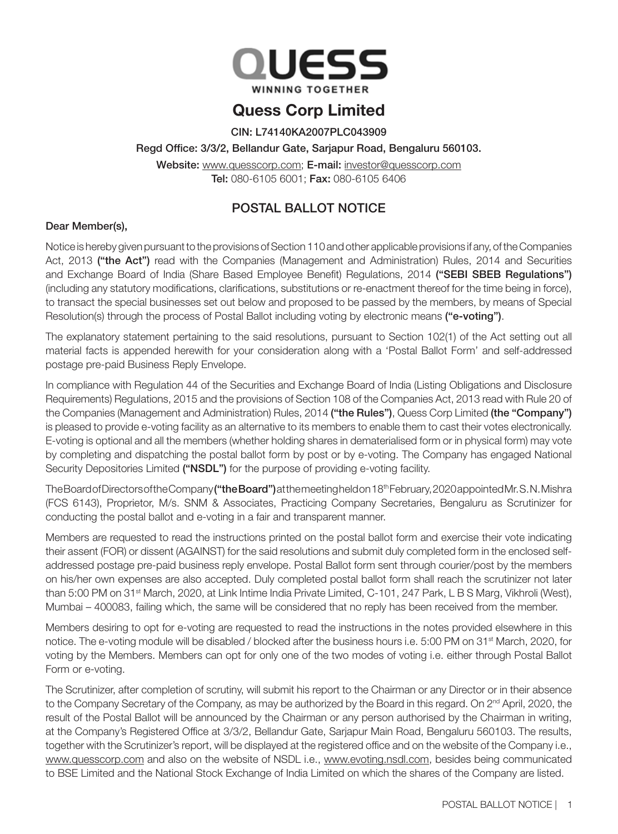

# Quess Corp Limited

CIN: L74140KA2007PLC043909

## Regd Office: 3/3/2, Bellandur Gate, Sarjapur Road, Bengaluru 560103.

Website: www.quesscorp.com; E-mail: investor@quesscorp.com Tel: 080-6105 6001; Fax: 080-6105 6406

## POSTAL BALLOT NOTICE

## Dear Member(s),

Notice is hereby given pursuant to the provisions of Section 110 and other applicable provisions if any, of the Companies Act, 2013 ("the Act") read with the Companies (Management and Administration) Rules, 2014 and Securities and Exchange Board of India (Share Based Employee Benefit) Regulations, 2014 ("SEBI SBEB Regulations") (including any statutory modifications, clarifications, substitutions or re-enactment thereof for the time being in force), to transact the special businesses set out below and proposed to be passed by the members, by means of Special Resolution(s) through the process of Postal Ballot including voting by electronic means ("e-voting").

The explanatory statement pertaining to the said resolutions, pursuant to Section 102(1) of the Act setting out all material facts is appended herewith for your consideration along with a 'Postal Ballot Form' and self-addressed postage pre-paid Business Reply Envelope.

In compliance with Regulation 44 of the Securities and Exchange Board of India (Listing Obligations and Disclosure Requirements) Regulations, 2015 and the provisions of Section 108 of the Companies Act, 2013 read with Rule 20 of the Companies (Management and Administration) Rules, 2014 ("the Rules"), Quess Corp Limited (the "Company") is pleased to provide e-voting facility as an alternative to its members to enable them to cast their votes electronically. E-voting is optional and all the members (whether holding shares in dematerialised form or in physical form) may vote by completing and dispatching the postal ballot form by post or by e-voting. The Company has engaged National Security Depositories Limited ("NSDL") for the purpose of providing e-voting facility.

The Board of Directors of the Company ("the Board") at the meeting held on 18<sup>th</sup> February, 2020 appointed Mr. S. N. Mishra (FCS 6143), Proprietor, M/s. SNM & Associates, Practicing Company Secretaries, Bengaluru as Scrutinizer for conducting the postal ballot and e-voting in a fair and transparent manner.

Members are requested to read the instructions printed on the postal ballot form and exercise their vote indicating their assent (FOR) or dissent (AGAINST) for the said resolutions and submit duly completed form in the enclosed selfaddressed postage pre-paid business reply envelope. Postal Ballot form sent through courier/post by the members on his/her own expenses are also accepted. Duly completed postal ballot form shall reach the scrutinizer not later than 5:00 PM on 31<sup>st</sup> March, 2020, at Link Intime India Private Limited, C-101, 247 Park, L B S Marg, Vikhroli (West), Mumbai – 400083, failing which, the same will be considered that no reply has been received from the member.

Members desiring to opt for e-voting are requested to read the instructions in the notes provided elsewhere in this notice. The e-voting module will be disabled / blocked after the business hours i.e. 5:00 PM on 31<sup>st</sup> March, 2020, for voting by the Members. Members can opt for only one of the two modes of voting i.e. either through Postal Ballot Form or e-voting.

The Scrutinizer, after completion of scrutiny, will submit his report to the Chairman or any Director or in their absence to the Company Secretary of the Company, as may be authorized by the Board in this regard. On 2<sup>nd</sup> April, 2020, the result of the Postal Ballot will be announced by the Chairman or any person authorised by the Chairman in writing, at the Company's Registered Office at 3/3/2, Bellandur Gate, Sarjapur Main Road, Bengaluru 560103. The results, together with the Scrutinizer's report, will be displayed at the registered office and on the website of the Company i.e., www.quesscorp.com and also on the website of NSDL i.e., www.evoting.nsdl.com, besides being communicated to BSE Limited and the National Stock Exchange of India Limited on which the shares of the Company are listed.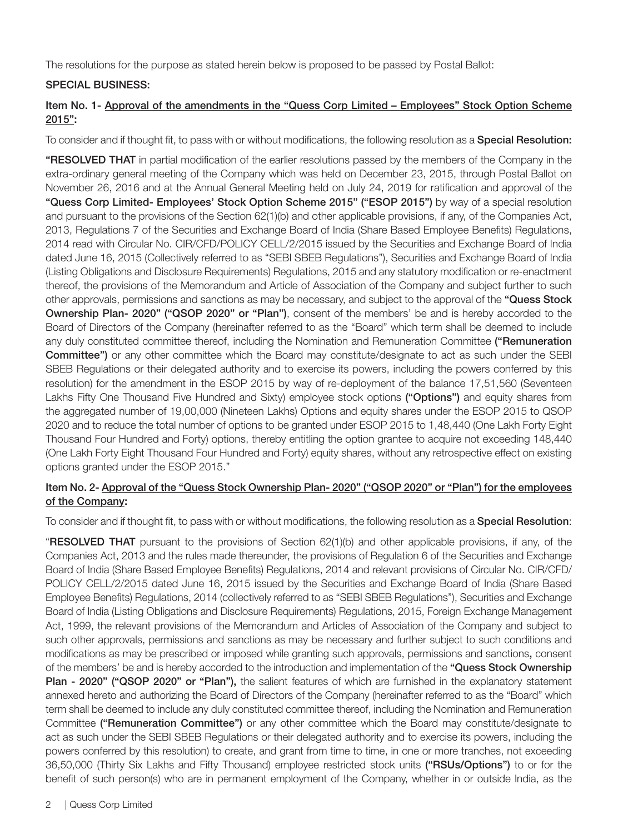The resolutions for the purpose as stated herein below is proposed to be passed by Postal Ballot:

## SPECIAL BUSINESS:

## Item No. 1- Approval of the amendments in the "Quess Corp Limited – Employees" Stock Option Scheme 2015":

To consider and if thought fit, to pass with or without modifications, the following resolution as a **Special Resolution:** 

"RESOLVED THAT in partial modification of the earlier resolutions passed by the members of the Company in the extra-ordinary general meeting of the Company which was held on December 23, 2015, through Postal Ballot on November 26, 2016 and at the Annual General Meeting held on July 24, 2019 for ratification and approval of the "Quess Corp Limited- Employees' Stock Option Scheme 2015" ("ESOP 2015") by way of a special resolution and pursuant to the provisions of the Section 62(1)(b) and other applicable provisions, if any, of the Companies Act, 2013, Regulations 7 of the Securities and Exchange Board of India (Share Based Employee Benefits) Regulations, 2014 read with Circular No. CIR/CFD/POLICY CELL/2/2015 issued by the Securities and Exchange Board of India dated June 16, 2015 (Collectively referred to as "SEBI SBEB Regulations"), Securities and Exchange Board of India (Listing Obligations and Disclosure Requirements) Regulations, 2015 and any statutory modification or re-enactment thereof, the provisions of the Memorandum and Article of Association of the Company and subject further to such other approvals, permissions and sanctions as may be necessary, and subject to the approval of the "Quess Stock Ownership Plan- 2020" ("QSOP 2020" or "Plan"), consent of the members' be and is hereby accorded to the Board of Directors of the Company (hereinafter referred to as the "Board" which term shall be deemed to include any duly constituted committee thereof, including the Nomination and Remuneration Committee ("Remuneration Committee") or any other committee which the Board may constitute/designate to act as such under the SEBI SBEB Regulations or their delegated authority and to exercise its powers, including the powers conferred by this resolution) for the amendment in the ESOP 2015 by way of re-deployment of the balance 17,51,560 (Seventeen Lakhs Fifty One Thousand Five Hundred and Sixty) employee stock options ("Options") and equity shares from the aggregated number of 19,00,000 (Nineteen Lakhs) Options and equity shares under the ESOP 2015 to QSOP 2020 and to reduce the total number of options to be granted under ESOP 2015 to 1,48,440 (One Lakh Forty Eight Thousand Four Hundred and Forty) options, thereby entitling the option grantee to acquire not exceeding 148,440 (One Lakh Forty Eight Thousand Four Hundred and Forty) equity shares, without any retrospective effect on existing options granted under the ESOP 2015."

## Item No. 2- Approval of the "Quess Stock Ownership Plan- 2020" ("QSOP 2020" or "Plan") for the employees of the Company:

To consider and if thought fit, to pass with or without modifications, the following resolution as a Special Resolution:

"RESOLVED THAT pursuant to the provisions of Section 62(1)(b) and other applicable provisions, if any, of the Companies Act, 2013 and the rules made thereunder, the provisions of Regulation 6 of the Securities and Exchange Board of India (Share Based Employee Benefits) Regulations, 2014 and relevant provisions of Circular No. CIR/CFD/ POLICY CELL/2/2015 dated June 16, 2015 issued by the Securities and Exchange Board of India (Share Based Employee Benefits) Regulations, 2014 (collectively referred to as "SEBI SBEB Regulations"), Securities and Exchange Board of India (Listing Obligations and Disclosure Requirements) Regulations, 2015, Foreign Exchange Management Act, 1999, the relevant provisions of the Memorandum and Articles of Association of the Company and subject to such other approvals, permissions and sanctions as may be necessary and further subject to such conditions and modifications as may be prescribed or imposed while granting such approvals, permissions and sanctions, consent of the members' be and is hereby accorded to the introduction and implementation of the "Quess Stock Ownership Plan - 2020" ("QSOP 2020" or "Plan"), the salient features of which are furnished in the explanatory statement annexed hereto and authorizing the Board of Directors of the Company (hereinafter referred to as the "Board" which term shall be deemed to include any duly constituted committee thereof, including the Nomination and Remuneration Committee ("Remuneration Committee") or any other committee which the Board may constitute/designate to act as such under the SEBI SBEB Regulations or their delegated authority and to exercise its powers, including the powers conferred by this resolution) to create, and grant from time to time, in one or more tranches, not exceeding 36,50,000 (Thirty Six Lakhs and Fifty Thousand) employee restricted stock units ("RSUs/Options") to or for the benefit of such person(s) who are in permanent employment of the Company, whether in or outside India, as the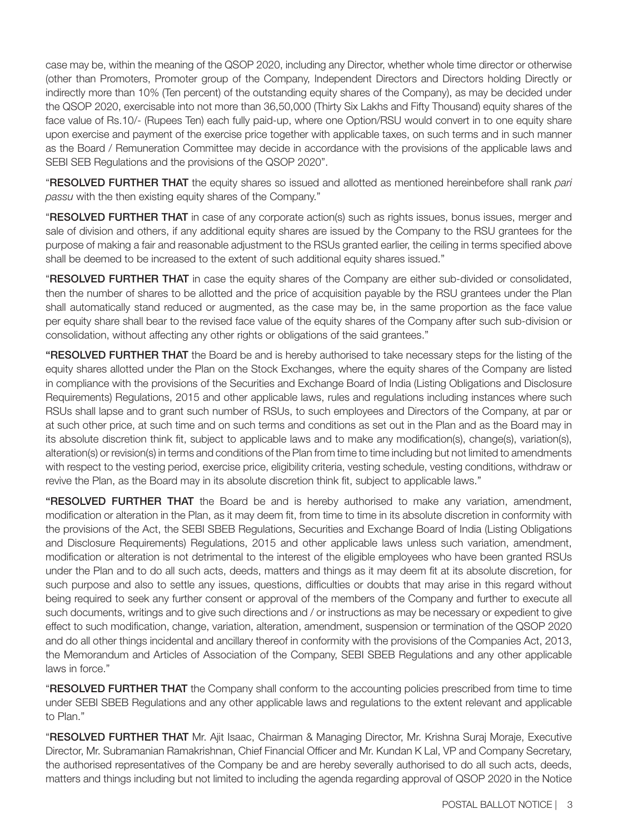case may be, within the meaning of the QSOP 2020, including any Director, whether whole time director or otherwise (other than Promoters, Promoter group of the Company, Independent Directors and Directors holding Directly or indirectly more than 10% (Ten percent) of the outstanding equity shares of the Company), as may be decided under the QSOP 2020, exercisable into not more than 36,50,000 (Thirty Six Lakhs and Fifty Thousand) equity shares of the face value of Rs.10/- (Rupees Ten) each fully paid-up, where one Option/RSU would convert in to one equity share upon exercise and payment of the exercise price together with applicable taxes, on such terms and in such manner as the Board / Remuneration Committee may decide in accordance with the provisions of the applicable laws and SEBI SEB Regulations and the provisions of the QSOP 2020".

"RESOLVED FURTHER THAT the equity shares so issued and allotted as mentioned hereinbefore shall rank *pari passu* with the then existing equity shares of the Company."

"RESOLVED FURTHER THAT in case of any corporate action(s) such as rights issues, bonus issues, merger and sale of division and others, if any additional equity shares are issued by the Company to the RSU grantees for the purpose of making a fair and reasonable adjustment to the RSUs granted earlier, the ceiling in terms specified above shall be deemed to be increased to the extent of such additional equity shares issued."

"RESOLVED FURTHER THAT in case the equity shares of the Company are either sub-divided or consolidated, then the number of shares to be allotted and the price of acquisition payable by the RSU grantees under the Plan shall automatically stand reduced or augmented, as the case may be, in the same proportion as the face value per equity share shall bear to the revised face value of the equity shares of the Company after such sub-division or consolidation, without affecting any other rights or obligations of the said grantees."

"RESOLVED FURTHER THAT the Board be and is hereby authorised to take necessary steps for the listing of the equity shares allotted under the Plan on the Stock Exchanges, where the equity shares of the Company are listed in compliance with the provisions of the Securities and Exchange Board of India (Listing Obligations and Disclosure Requirements) Regulations, 2015 and other applicable laws, rules and regulations including instances where such RSUs shall lapse and to grant such number of RSUs, to such employees and Directors of the Company, at par or at such other price, at such time and on such terms and conditions as set out in the Plan and as the Board may in its absolute discretion think fit, subject to applicable laws and to make any modification(s), change(s), variation(s), alteration(s) or revision(s) in terms and conditions of the Plan from time to time including but not limited to amendments with respect to the vesting period, exercise price, eligibility criteria, vesting schedule, vesting conditions, withdraw or revive the Plan, as the Board may in its absolute discretion think fit, subject to applicable laws."

"RESOLVED FURTHER THAT the Board be and is hereby authorised to make any variation, amendment, modification or alteration in the Plan, as it may deem fit, from time to time in its absolute discretion in conformity with the provisions of the Act, the SEBI SBEB Regulations, Securities and Exchange Board of India (Listing Obligations and Disclosure Requirements) Regulations, 2015 and other applicable laws unless such variation, amendment, modification or alteration is not detrimental to the interest of the eligible employees who have been granted RSUs under the Plan and to do all such acts, deeds, matters and things as it may deem fit at its absolute discretion, for such purpose and also to settle any issues, questions, difficulties or doubts that may arise in this regard without being required to seek any further consent or approval of the members of the Company and further to execute all such documents, writings and to give such directions and / or instructions as may be necessary or expedient to give effect to such modification, change, variation, alteration, amendment, suspension or termination of the QSOP 2020 and do all other things incidental and ancillary thereof in conformity with the provisions of the Companies Act, 2013, the Memorandum and Articles of Association of the Company, SEBI SBEB Regulations and any other applicable laws in force."

"RESOLVED FURTHER THAT the Company shall conform to the accounting policies prescribed from time to time under SEBI SBEB Regulations and any other applicable laws and regulations to the extent relevant and applicable to Plan."

"RESOLVED FURTHER THAT Mr. Ajit Isaac, Chairman & Managing Director, Mr. Krishna Suraj Moraje, Executive Director, Mr. Subramanian Ramakrishnan, Chief Financial Officer and Mr. Kundan K Lal, VP and Company Secretary, the authorised representatives of the Company be and are hereby severally authorised to do all such acts, deeds, matters and things including but not limited to including the agenda regarding approval of QSOP 2020 in the Notice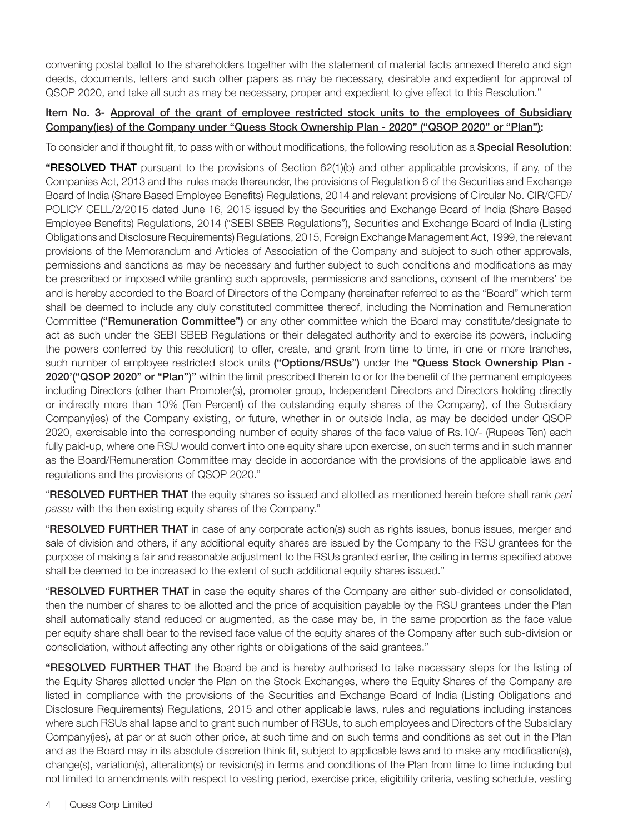convening postal ballot to the shareholders together with the statement of material facts annexed thereto and sign deeds, documents, letters and such other papers as may be necessary, desirable and expedient for approval of QSOP 2020, and take all such as may be necessary, proper and expedient to give effect to this Resolution."

## Item No. 3- Approval of the grant of employee restricted stock units to the employees of Subsidiary Company(ies) of the Company under "Quess Stock Ownership Plan - 2020" ("QSOP 2020" or "Plan"):

To consider and if thought fit, to pass with or without modifications, the following resolution as a Special Resolution:

"RESOLVED THAT pursuant to the provisions of Section 62(1)(b) and other applicable provisions, if any, of the Companies Act, 2013 and the rules made thereunder, the provisions of Regulation 6 of the Securities and Exchange Board of India (Share Based Employee Benefits) Regulations, 2014 and relevant provisions of Circular No. CIR/CFD/ POLICY CELL/2/2015 dated June 16, 2015 issued by the Securities and Exchange Board of India (Share Based Employee Benefits) Regulations, 2014 ("SEBI SBEB Regulations"), Securities and Exchange Board of India (Listing Obligations and Disclosure Requirements) Regulations, 2015, Foreign Exchange Management Act, 1999, the relevant provisions of the Memorandum and Articles of Association of the Company and subject to such other approvals, permissions and sanctions as may be necessary and further subject to such conditions and modifications as may be prescribed or imposed while granting such approvals, permissions and sanctions, consent of the members' be and is hereby accorded to the Board of Directors of the Company (hereinafter referred to as the "Board" which term shall be deemed to include any duly constituted committee thereof, including the Nomination and Remuneration Committee ("Remuneration Committee") or any other committee which the Board may constitute/designate to act as such under the SEBI SBEB Regulations or their delegated authority and to exercise its powers, including the powers conferred by this resolution) to offer, create, and grant from time to time, in one or more tranches, such number of employee restricted stock units ("Options/RSUs") under the "Quess Stock Ownership Plan -2020'("QSOP 2020" or "Plan")" within the limit prescribed therein to or for the benefit of the permanent employees including Directors (other than Promoter(s), promoter group, Independent Directors and Directors holding directly or indirectly more than 10% (Ten Percent) of the outstanding equity shares of the Company), of the Subsidiary Company(ies) of the Company existing, or future, whether in or outside India, as may be decided under QSOP 2020, exercisable into the corresponding number of equity shares of the face value of Rs.10/- (Rupees Ten) each fully paid-up, where one RSU would convert into one equity share upon exercise, on such terms and in such manner as the Board/Remuneration Committee may decide in accordance with the provisions of the applicable laws and regulations and the provisions of QSOP 2020."

"RESOLVED FURTHER THAT the equity shares so issued and allotted as mentioned herein before shall rank *pari passu* with the then existing equity shares of the Company."

"RESOLVED FURTHER THAT in case of any corporate action(s) such as rights issues, bonus issues, merger and sale of division and others, if any additional equity shares are issued by the Company to the RSU grantees for the purpose of making a fair and reasonable adjustment to the RSUs granted earlier, the ceiling in terms specified above shall be deemed to be increased to the extent of such additional equity shares issued."

"RESOLVED FURTHER THAT in case the equity shares of the Company are either sub-divided or consolidated, then the number of shares to be allotted and the price of acquisition payable by the RSU grantees under the Plan shall automatically stand reduced or augmented, as the case may be, in the same proportion as the face value per equity share shall bear to the revised face value of the equity shares of the Company after such sub-division or consolidation, without affecting any other rights or obligations of the said grantees."

"RESOLVED FURTHER THAT the Board be and is hereby authorised to take necessary steps for the listing of the Equity Shares allotted under the Plan on the Stock Exchanges, where the Equity Shares of the Company are listed in compliance with the provisions of the Securities and Exchange Board of India (Listing Obligations and Disclosure Requirements) Regulations, 2015 and other applicable laws, rules and regulations including instances where such RSUs shall lapse and to grant such number of RSUs, to such employees and Directors of the Subsidiary Company(ies), at par or at such other price, at such time and on such terms and conditions as set out in the Plan and as the Board may in its absolute discretion think fit, subject to applicable laws and to make any modification(s), change(s), variation(s), alteration(s) or revision(s) in terms and conditions of the Plan from time to time including but not limited to amendments with respect to vesting period, exercise price, eligibility criteria, vesting schedule, vesting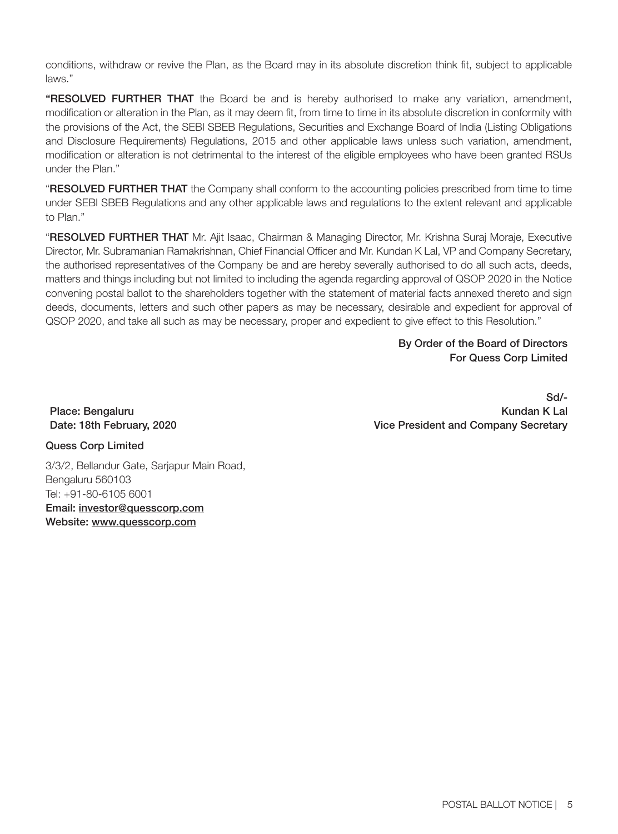conditions, withdraw or revive the Plan, as the Board may in its absolute discretion think fit, subject to applicable laws."

"RESOLVED FURTHER THAT the Board be and is hereby authorised to make any variation, amendment, modification or alteration in the Plan, as it may deem fit, from time to time in its absolute discretion in conformity with the provisions of the Act, the SEBI SBEB Regulations, Securities and Exchange Board of India (Listing Obligations and Disclosure Requirements) Regulations, 2015 and other applicable laws unless such variation, amendment, modification or alteration is not detrimental to the interest of the eligible employees who have been granted RSUs under the Plan."

"RESOLVED FURTHER THAT the Company shall conform to the accounting policies prescribed from time to time under SEBI SBEB Regulations and any other applicable laws and regulations to the extent relevant and applicable to Plan."

"RESOLVED FURTHER THAT Mr. Ajit Isaac, Chairman & Managing Director, Mr. Krishna Suraj Moraje, Executive Director, Mr. Subramanian Ramakrishnan, Chief Financial Officer and Mr. Kundan K Lal, VP and Company Secretary, the authorised representatives of the Company be and are hereby severally authorised to do all such acts, deeds, matters and things including but not limited to including the agenda regarding approval of QSOP 2020 in the Notice convening postal ballot to the shareholders together with the statement of material facts annexed thereto and sign deeds, documents, letters and such other papers as may be necessary, desirable and expedient for approval of QSOP 2020, and take all such as may be necessary, proper and expedient to give effect to this Resolution."

> By Order of the Board of Directors For Quess Corp Limited

Place: Bengaluru Date: 18th February, 2020

Sd/- Kundan K Lal Vice President and Company Secretary

Quess Corp Limited

3/3/2, Bellandur Gate, Sarjapur Main Road, Bengaluru 560103 Tel: +91-80-6105 6001 Email: investor@quesscorp.com Website: www.quesscorp.com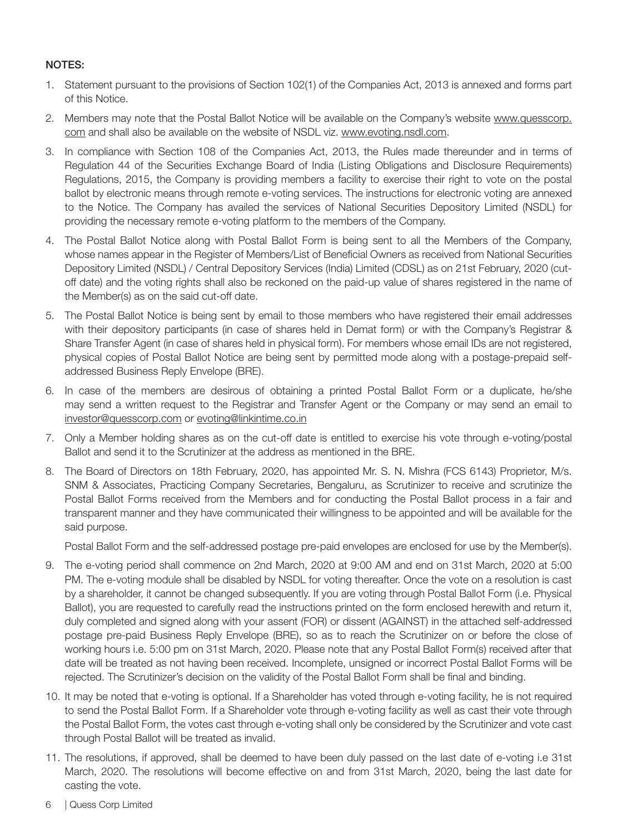## NOTES:

- 1. Statement pursuant to the provisions of Section 102(1) of the Companies Act, 2013 is annexed and forms part of this Notice.
- 2. Members may note that the Postal Ballot Notice will be available on the Company's website www.quesscorp. com and shall also be available on the website of NSDL viz. www.evoting.nsdl.com.
- 3. In compliance with Section 108 of the Companies Act, 2013, the Rules made thereunder and in terms of Regulation 44 of the Securities Exchange Board of India (Listing Obligations and Disclosure Requirements) Regulations, 2015, the Company is providing members a facility to exercise their right to vote on the postal ballot by electronic means through remote e-voting services. The instructions for electronic voting are annexed to the Notice. The Company has availed the services of National Securities Depository Limited (NSDL) for providing the necessary remote e-voting platform to the members of the Company.
- 4. The Postal Ballot Notice along with Postal Ballot Form is being sent to all the Members of the Company, whose names appear in the Register of Members/List of Beneficial Owners as received from National Securities Depository Limited (NSDL) / Central Depository Services (India) Limited (CDSL) as on 21st February, 2020 (cutoff date) and the voting rights shall also be reckoned on the paid-up value of shares registered in the name of the Member(s) as on the said cut-off date.
- 5. The Postal Ballot Notice is being sent by email to those members who have registered their email addresses with their depository participants (in case of shares held in Demat form) or with the Company's Registrar & Share Transfer Agent (in case of shares held in physical form). For members whose email IDs are not registered, physical copies of Postal Ballot Notice are being sent by permitted mode along with a postage-prepaid selfaddressed Business Reply Envelope (BRE).
- 6. In case of the members are desirous of obtaining a printed Postal Ballot Form or a duplicate, he/she may send a written request to the Registrar and Transfer Agent or the Company or may send an email to investor@quesscorp.com or evoting@linkintime.co.in
- 7. Only a Member holding shares as on the cut-off date is entitled to exercise his vote through e-voting/postal Ballot and send it to the Scrutinizer at the address as mentioned in the BRE.
- 8. The Board of Directors on 18th February, 2020, has appointed Mr. S. N. Mishra (FCS 6143) Proprietor, M/s. SNM & Associates, Practicing Company Secretaries, Bengaluru, as Scrutinizer to receive and scrutinize the Postal Ballot Forms received from the Members and for conducting the Postal Ballot process in a fair and transparent manner and they have communicated their willingness to be appointed and will be available for the said purpose.

Postal Ballot Form and the self-addressed postage pre-paid envelopes are enclosed for use by the Member(s).

- 9. The e-voting period shall commence on 2nd March, 2020 at 9:00 AM and end on 31st March, 2020 at 5:00 PM. The e-voting module shall be disabled by NSDL for voting thereafter. Once the vote on a resolution is cast by a shareholder, it cannot be changed subsequently. If you are voting through Postal Ballot Form (i.e. Physical Ballot), you are requested to carefully read the instructions printed on the form enclosed herewith and return it, duly completed and signed along with your assent (FOR) or dissent (AGAINST) in the attached self-addressed postage pre-paid Business Reply Envelope (BRE), so as to reach the Scrutinizer on or before the close of working hours i.e. 5:00 pm on 31st March, 2020. Please note that any Postal Ballot Form(s) received after that date will be treated as not having been received. Incomplete, unsigned or incorrect Postal Ballot Forms will be rejected. The Scrutinizer's decision on the validity of the Postal Ballot Form shall be final and binding.
- 10. It may be noted that e-voting is optional. If a Shareholder has voted through e-voting facility, he is not required to send the Postal Ballot Form. If a Shareholder vote through e-voting facility as well as cast their vote through the Postal Ballot Form, the votes cast through e-voting shall only be considered by the Scrutinizer and vote cast through Postal Ballot will be treated as invalid.
- 11. The resolutions, if approved, shall be deemed to have been duly passed on the last date of e-voting i.e 31st March, 2020. The resolutions will become effective on and from 31st March, 2020, being the last date for casting the vote.
- 6 | Quess Corp Limited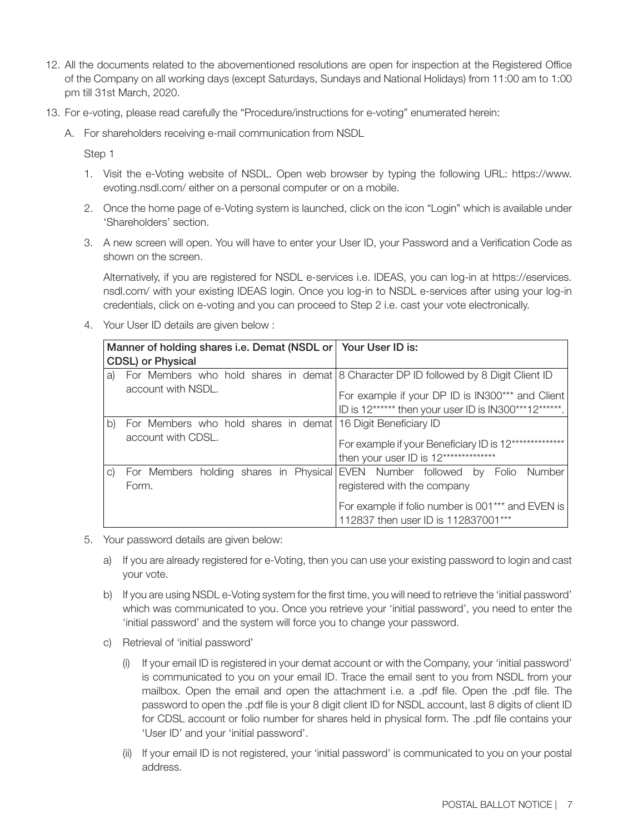- 12. All the documents related to the abovementioned resolutions are open for inspection at the Registered Office of the Company on all working days (except Saturdays, Sundays and National Holidays) from 11:00 am to 1:00 pm till 31st March, 2020.
- 13. For e-voting, please read carefully the "Procedure/instructions for e-voting" enumerated herein:
	- A. For shareholders receiving e-mail communication from NSDL

Step 1

- 1. Visit the e-Voting website of NSDL. Open web browser by typing the following URL: https://www. evoting.nsdl.com/ either on a personal computer or on a mobile.
- 2. Once the home page of e-Voting system is launched, click on the icon "Login" which is available under 'Shareholders' section.
- 3. A new screen will open. You will have to enter your User ID, your Password and a Verification Code as shown on the screen.

 Alternatively, if you are registered for NSDL e-services i.e. IDEAS, you can log-in at https://eservices. nsdl.com/ with your existing IDEAS login. Once you log-in to NSDL e-services after using your log-in credentials, click on e-voting and you can proceed to Step 2 i.e. cast your vote electronically.

4. Your User ID details are given below :

|    | Manner of holding shares i.e. Demat (NSDL or Your User ID is: |                                                                                      |
|----|---------------------------------------------------------------|--------------------------------------------------------------------------------------|
|    | <b>CDSL</b> ) or Physical                                     |                                                                                      |
| a) |                                                               | For Members who hold shares in demat 8 Character DP ID followed by 8 Digit Client ID |
|    | account with NSDL.                                            | For example if your DP ID is IN300*** and Client                                     |
|    |                                                               | ID is 12****** then your user ID is IN300***12******.                                |
| b) | For Members who hold shares in demat 16 Digit Beneficiary ID  |                                                                                      |
|    | account with CDSL.                                            | For example if your Beneficiary ID is 12************                                 |
|    |                                                               | then your user ID is 12**************                                                |
| C) |                                                               | For Members holding shares in Physical EVEN Number followed by Folio Number          |
|    | Form.                                                         | registered with the company                                                          |
|    |                                                               | For example if folio number is 001 <sup>***</sup> and EVEN is                        |
|    |                                                               | 112837 then user ID is 112837001***                                                  |

- 5. Your password details are given below:
	- a) If you are already registered for e-Voting, then you can use your existing password to login and cast your vote.
	- b) If you are using NSDL e-Voting system for the first time, you will need to retrieve the 'initial password' which was communicated to you. Once you retrieve your 'initial password', you need to enter the 'initial password' and the system will force you to change your password.
	- c) Retrieval of 'initial password'
		- (i) If your email ID is registered in your demat account or with the Company, your 'initial password' is communicated to you on your email ID. Trace the email sent to you from NSDL from your mailbox. Open the email and open the attachment i.e. a .pdf file. Open the .pdf file. The password to open the .pdf file is your 8 digit client ID for NSDL account, last 8 digits of client ID for CDSL account or folio number for shares held in physical form. The .pdf file contains your 'User ID' and your 'initial password'.
		- (ii) If your email ID is not registered, your 'initial password' is communicated to you on your postal address.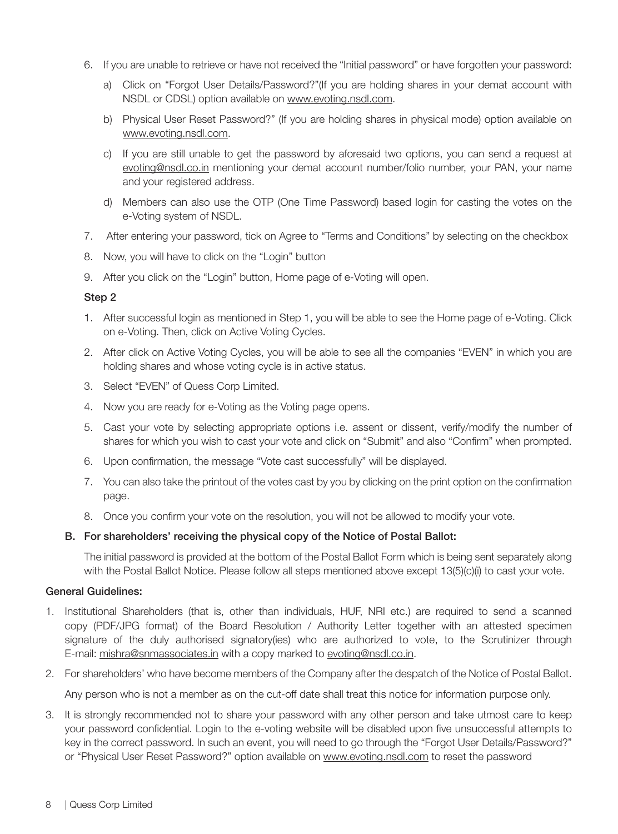- 6. If you are unable to retrieve or have not received the "Initial password" or have forgotten your password:
	- a) Click on "Forgot User Details/Password?"(If you are holding shares in your demat account with NSDL or CDSL) option available on www.evoting.nsdl.com.
	- b) Physical User Reset Password?" (If you are holding shares in physical mode) option available on www.evoting.nsdl.com.
	- c) If you are still unable to get the password by aforesaid two options, you can send a request at evoting@nsdl.co.in mentioning your demat account number/folio number, your PAN, your name and your registered address.
	- d) Members can also use the OTP (One Time Password) based login for casting the votes on the e-Voting system of NSDL.
- 7. After entering your password, tick on Agree to "Terms and Conditions" by selecting on the checkbox
- 8. Now, you will have to click on the "Login" button
- 9. After you click on the "Login" button, Home page of e-Voting will open.

#### Step 2

- 1. After successful login as mentioned in Step 1, you will be able to see the Home page of e-Voting. Click on e-Voting. Then, click on Active Voting Cycles.
- 2. After click on Active Voting Cycles, you will be able to see all the companies "EVEN" in which you are holding shares and whose voting cycle is in active status.
- 3. Select "EVEN" of Quess Corp Limited.
- 4. Now you are ready for e-Voting as the Voting page opens.
- 5. Cast your vote by selecting appropriate options i.e. assent or dissent, verify/modify the number of shares for which you wish to cast your vote and click on "Submit" and also "Confirm" when prompted.
- 6. Upon confirmation, the message "Vote cast successfully" will be displayed.
- 7. You can also take the printout of the votes cast by you by clicking on the print option on the confirmation page.
- 8. Once you confirm your vote on the resolution, you will not be allowed to modify your vote.

#### B. For shareholders' receiving the physical copy of the Notice of Postal Ballot:

 The initial password is provided at the bottom of the Postal Ballot Form which is being sent separately along with the Postal Ballot Notice. Please follow all steps mentioned above except 13(5)(c)(i) to cast your vote.

#### General Guidelines:

- 1. Institutional Shareholders (that is, other than individuals, HUF, NRI etc.) are required to send a scanned copy (PDF/JPG format) of the Board Resolution / Authority Letter together with an attested specimen signature of the duly authorised signatory(ies) who are authorized to vote, to the Scrutinizer through E-mail: mishra@snmassociates.in with a copy marked to evoting@nsdl.co.in.
- 2. For shareholders' who have become members of the Company after the despatch of the Notice of Postal Ballot.

Any person who is not a member as on the cut-off date shall treat this notice for information purpose only.

3. It is strongly recommended not to share your password with any other person and take utmost care to keep your password confidential. Login to the e-voting website will be disabled upon five unsuccessful attempts to key in the correct password. In such an event, you will need to go through the "Forgot User Details/Password?" or "Physical User Reset Password?" option available on www.evoting.nsdl.com to reset the password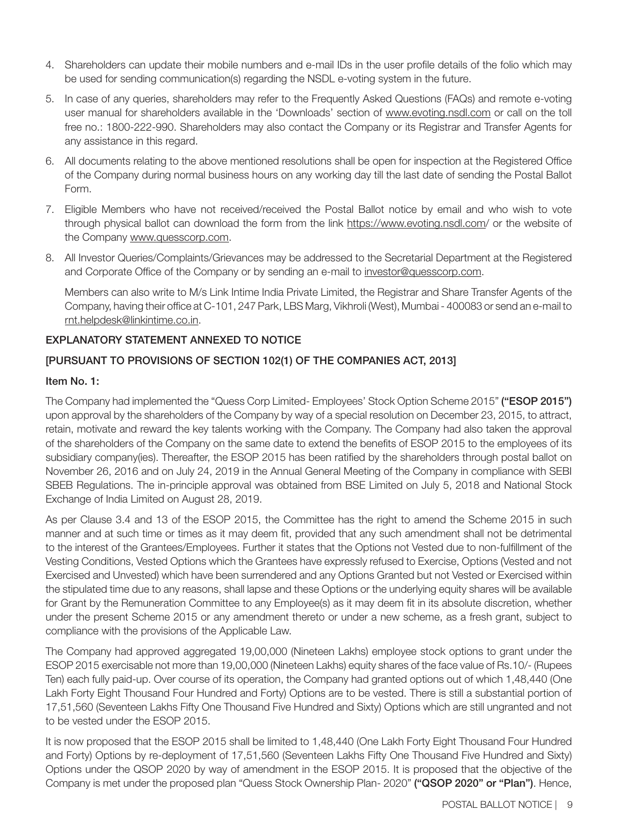- 4. Shareholders can update their mobile numbers and e-mail IDs in the user profile details of the folio which may be used for sending communication(s) regarding the NSDL e-voting system in the future.
- 5. In case of any queries, shareholders may refer to the Frequently Asked Questions (FAQs) and remote e-voting user manual for shareholders available in the 'Downloads' section of www.evoting.nsdl.com or call on the toll free no.: 1800-222-990. Shareholders may also contact the Company or its Registrar and Transfer Agents for any assistance in this regard.
- 6. All documents relating to the above mentioned resolutions shall be open for inspection at the Registered Office of the Company during normal business hours on any working day till the last date of sending the Postal Ballot Form.
- 7. Eligible Members who have not received/received the Postal Ballot notice by email and who wish to vote through physical ballot can download the form from the link https://www.evoting.nsdl.com/ or the website of the Company www.quesscorp.com.
- 8. All Investor Queries/Complaints/Grievances may be addressed to the Secretarial Department at the Registered and Corporate Office of the Company or by sending an e-mail to investor@quesscorp.com.

Members can also write to M/s Link Intime India Private Limited, the Registrar and Share Transfer Agents of the Company, having their office at C-101, 247 Park, LBS Marg, Vikhroli (West), Mumbai - 400083 or send an e-mail to rnt.helpdesk@linkintime.co.in.

## EXPLANATORY STATEMENT ANNEXED TO NOTICE

## [PURSUANT TO PROVISIONS OF SECTION 102(1) OF THE COMPANIES ACT, 2013]

## Item No. 1:

The Company had implemented the "Quess Corp Limited- Employees' Stock Option Scheme 2015" ("ESOP 2015") upon approval by the shareholders of the Company by way of a special resolution on December 23, 2015, to attract, retain, motivate and reward the key talents working with the Company. The Company had also taken the approval of the shareholders of the Company on the same date to extend the benefits of ESOP 2015 to the employees of its subsidiary company(ies). Thereafter, the ESOP 2015 has been ratified by the shareholders through postal ballot on November 26, 2016 and on July 24, 2019 in the Annual General Meeting of the Company in compliance with SEBI SBEB Regulations. The in-principle approval was obtained from BSE Limited on July 5, 2018 and National Stock Exchange of India Limited on August 28, 2019.

As per Clause 3.4 and 13 of the ESOP 2015, the Committee has the right to amend the Scheme 2015 in such manner and at such time or times as it may deem fit, provided that any such amendment shall not be detrimental to the interest of the Grantees/Employees. Further it states that the Options not Vested due to non-fulfillment of the Vesting Conditions, Vested Options which the Grantees have expressly refused to Exercise, Options (Vested and not Exercised and Unvested) which have been surrendered and any Options Granted but not Vested or Exercised within the stipulated time due to any reasons, shall lapse and these Options or the underlying equity shares will be available for Grant by the Remuneration Committee to any Employee(s) as it may deem fit in its absolute discretion, whether under the present Scheme 2015 or any amendment thereto or under a new scheme, as a fresh grant, subject to compliance with the provisions of the Applicable Law.

The Company had approved aggregated 19,00,000 (Nineteen Lakhs) employee stock options to grant under the ESOP 2015 exercisable not more than 19,00,000 (Nineteen Lakhs) equity shares of the face value of Rs.10/- (Rupees Ten) each fully paid-up. Over course of its operation, the Company had granted options out of which 1,48,440 (One Lakh Forty Eight Thousand Four Hundred and Forty) Options are to be vested. There is still a substantial portion of 17,51,560 (Seventeen Lakhs Fifty One Thousand Five Hundred and Sixty) Options which are still ungranted and not to be vested under the ESOP 2015.

It is now proposed that the ESOP 2015 shall be limited to 1,48,440 (One Lakh Forty Eight Thousand Four Hundred and Forty) Options by re-deployment of 17,51,560 (Seventeen Lakhs Fifty One Thousand Five Hundred and Sixty) Options under the QSOP 2020 by way of amendment in the ESOP 2015. It is proposed that the objective of the Company is met under the proposed plan "Quess Stock Ownership Plan- 2020" ("QSOP 2020" or "Plan"). Hence,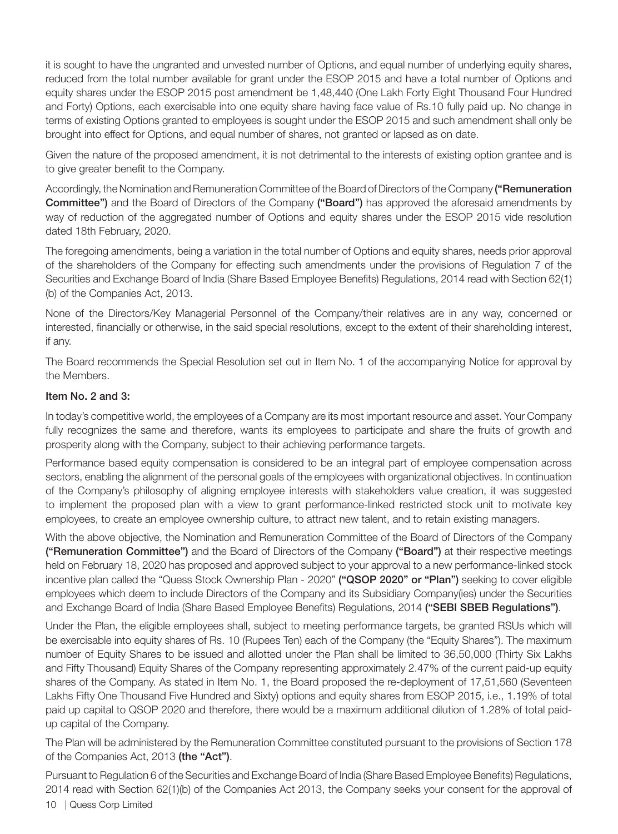it is sought to have the ungranted and unvested number of Options, and equal number of underlying equity shares, reduced from the total number available for grant under the ESOP 2015 and have a total number of Options and equity shares under the ESOP 2015 post amendment be 1,48,440 (One Lakh Forty Eight Thousand Four Hundred and Forty) Options, each exercisable into one equity share having face value of Rs.10 fully paid up. No change in terms of existing Options granted to employees is sought under the ESOP 2015 and such amendment shall only be brought into effect for Options, and equal number of shares, not granted or lapsed as on date.

Given the nature of the proposed amendment, it is not detrimental to the interests of existing option grantee and is to give greater benefit to the Company.

Accordingly, the Nomination and Remuneration Committee of the Board of Directors of the Company ("Remuneration **Committee")** and the Board of Directors of the Company ("Board") has approved the aforesaid amendments by way of reduction of the aggregated number of Options and equity shares under the ESOP 2015 vide resolution dated 18th February, 2020.

The foregoing amendments, being a variation in the total number of Options and equity shares, needs prior approval of the shareholders of the Company for effecting such amendments under the provisions of Regulation 7 of the Securities and Exchange Board of India (Share Based Employee Benefits) Regulations, 2014 read with Section 62(1) (b) of the Companies Act, 2013.

None of the Directors/Key Managerial Personnel of the Company/their relatives are in any way, concerned or interested, financially or otherwise, in the said special resolutions, except to the extent of their shareholding interest, if any.

The Board recommends the Special Resolution set out in Item No. 1 of the accompanying Notice for approval by the Members.

#### Item No. 2 and 3:

In today's competitive world, the employees of a Company are its most important resource and asset. Your Company fully recognizes the same and therefore, wants its employees to participate and share the fruits of growth and prosperity along with the Company, subject to their achieving performance targets.

Performance based equity compensation is considered to be an integral part of employee compensation across sectors, enabling the alignment of the personal goals of the employees with organizational objectives. In continuation of the Company's philosophy of aligning employee interests with stakeholders value creation, it was suggested to implement the proposed plan with a view to grant performance-linked restricted stock unit to motivate key employees, to create an employee ownership culture, to attract new talent, and to retain existing managers.

With the above objective, the Nomination and Remuneration Committee of the Board of Directors of the Company ("Remuneration Committee") and the Board of Directors of the Company ("Board") at their respective meetings held on February 18, 2020 has proposed and approved subject to your approval to a new performance-linked stock incentive plan called the "Quess Stock Ownership Plan - 2020" ("QSOP 2020" or "Plan") seeking to cover eligible employees which deem to include Directors of the Company and its Subsidiary Company(ies) under the Securities and Exchange Board of India (Share Based Employee Benefits) Regulations, 2014 ("SEBI SBEB Regulations").

Under the Plan, the eligible employees shall, subject to meeting performance targets, be granted RSUs which will be exercisable into equity shares of Rs. 10 (Rupees Ten) each of the Company (the "Equity Shares"). The maximum number of Equity Shares to be issued and allotted under the Plan shall be limited to 36,50,000 (Thirty Six Lakhs and Fifty Thousand) Equity Shares of the Company representing approximately 2.47% of the current paid-up equity shares of the Company. As stated in Item No. 1, the Board proposed the re-deployment of 17,51,560 (Seventeen Lakhs Fifty One Thousand Five Hundred and Sixty) options and equity shares from ESOP 2015, i.e., 1.19% of total paid up capital to QSOP 2020 and therefore, there would be a maximum additional dilution of 1.28% of total paidup capital of the Company.

The Plan will be administered by the Remuneration Committee constituted pursuant to the provisions of Section 178 of the Companies Act, 2013 (the "Act").

Pursuant to Regulation 6 of the Securities and Exchange Board of India (Share Based Employee Benefits) Regulations, 2014 read with Section 62(1)(b) of the Companies Act 2013, the Company seeks your consent for the approval of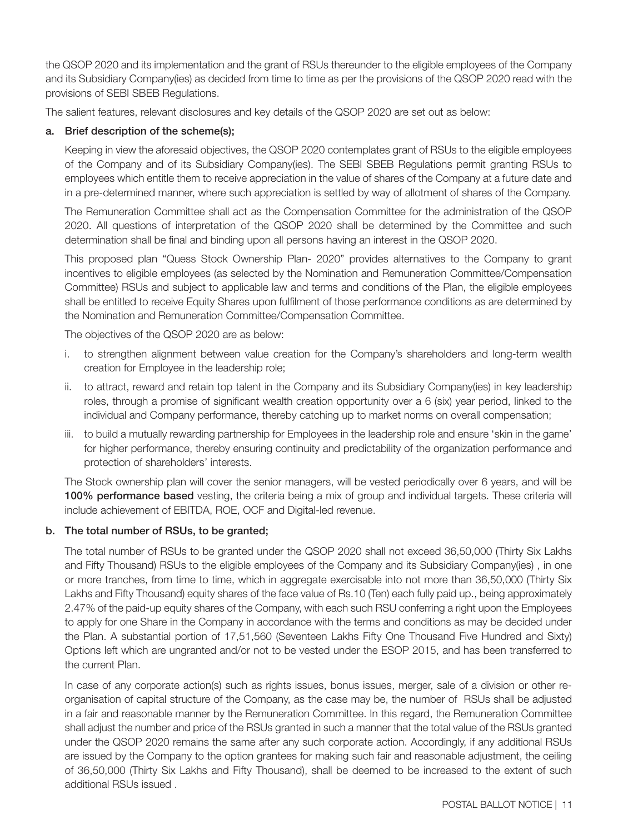the QSOP 2020 and its implementation and the grant of RSUs thereunder to the eligible employees of the Company and its Subsidiary Company(ies) as decided from time to time as per the provisions of the QSOP 2020 read with the provisions of SEBI SBEB Regulations.

The salient features, relevant disclosures and key details of the QSOP 2020 are set out as below:

## a. Brief description of the scheme(s);

Keeping in view the aforesaid objectives, the QSOP 2020 contemplates grant of RSUs to the eligible employees of the Company and of its Subsidiary Company(ies). The SEBI SBEB Regulations permit granting RSUs to employees which entitle them to receive appreciation in the value of shares of the Company at a future date and in a pre-determined manner, where such appreciation is settled by way of allotment of shares of the Company.

The Remuneration Committee shall act as the Compensation Committee for the administration of the QSOP 2020. All questions of interpretation of the QSOP 2020 shall be determined by the Committee and such determination shall be final and binding upon all persons having an interest in the QSOP 2020.

This proposed plan "Quess Stock Ownership Plan- 2020" provides alternatives to the Company to grant incentives to eligible employees (as selected by the Nomination and Remuneration Committee/Compensation Committee) RSUs and subject to applicable law and terms and conditions of the Plan, the eligible employees shall be entitled to receive Equity Shares upon fulfilment of those performance conditions as are determined by the Nomination and Remuneration Committee/Compensation Committee.

The objectives of the QSOP 2020 are as below:

- i. to strengthen alignment between value creation for the Company's shareholders and long-term wealth creation for Employee in the leadership role;
- ii. to attract, reward and retain top talent in the Company and its Subsidiary Company(ies) in key leadership roles, through a promise of significant wealth creation opportunity over a 6 (six) year period, linked to the individual and Company performance, thereby catching up to market norms on overall compensation;
- iii. to build a mutually rewarding partnership for Employees in the leadership role and ensure 'skin in the game' for higher performance, thereby ensuring continuity and predictability of the organization performance and protection of shareholders' interests.

The Stock ownership plan will cover the senior managers, will be vested periodically over 6 years, and will be 100% performance based vesting, the criteria being a mix of group and individual targets. These criteria will include achievement of EBITDA, ROE, OCF and Digital-led revenue.

## b. The total number of RSUs, to be granted;

The total number of RSUs to be granted under the QSOP 2020 shall not exceed 36,50,000 (Thirty Six Lakhs and Fifty Thousand) RSUs to the eligible employees of the Company and its Subsidiary Company(ies) , in one or more tranches, from time to time, which in aggregate exercisable into not more than 36,50,000 (Thirty Six Lakhs and Fifty Thousand) equity shares of the face value of Rs.10 (Ten) each fully paid up., being approximately 2.47% of the paid-up equity shares of the Company, with each such RSU conferring a right upon the Employees to apply for one Share in the Company in accordance with the terms and conditions as may be decided under the Plan. A substantial portion of 17,51,560 (Seventeen Lakhs Fifty One Thousand Five Hundred and Sixty) Options left which are ungranted and/or not to be vested under the ESOP 2015, and has been transferred to the current Plan.

In case of any corporate action(s) such as rights issues, bonus issues, merger, sale of a division or other reorganisation of capital structure of the Company, as the case may be, the number of RSUs shall be adjusted in a fair and reasonable manner by the Remuneration Committee. In this regard, the Remuneration Committee shall adjust the number and price of the RSUs granted in such a manner that the total value of the RSUs granted under the QSOP 2020 remains the same after any such corporate action. Accordingly, if any additional RSUs are issued by the Company to the option grantees for making such fair and reasonable adjustment, the ceiling of 36,50,000 (Thirty Six Lakhs and Fifty Thousand), shall be deemed to be increased to the extent of such additional RSUs issued .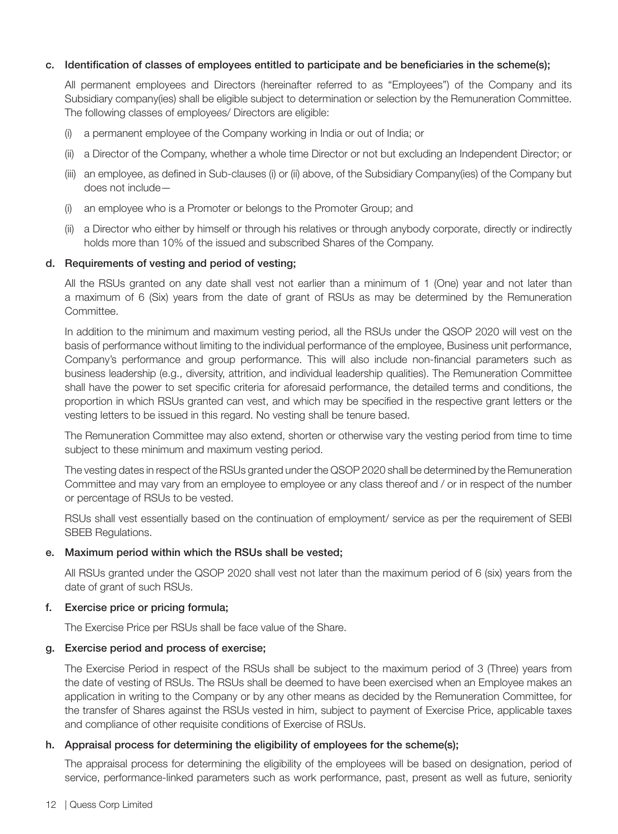#### c. Identification of classes of employees entitled to participate and be beneficiaries in the scheme(s);

All permanent employees and Directors (hereinafter referred to as "Employees") of the Company and its Subsidiary company(ies) shall be eligible subject to determination or selection by the Remuneration Committee. The following classes of employees/ Directors are eligible:

- (i) a permanent employee of the Company working in India or out of India; or
- (ii) a Director of the Company, whether a whole time Director or not but excluding an Independent Director; or
- (iii) an employee, as defined in Sub-clauses (i) or (ii) above, of the Subsidiary Company(ies) of the Company but does not include—
- (i) an employee who is a Promoter or belongs to the Promoter Group; and
- (ii) a Director who either by himself or through his relatives or through anybody corporate, directly or indirectly holds more than 10% of the issued and subscribed Shares of the Company.

#### d. Requirements of vesting and period of vesting;

All the RSUs granted on any date shall vest not earlier than a minimum of 1 (One) year and not later than a maximum of 6 (Six) years from the date of grant of RSUs as may be determined by the Remuneration Committee.

In addition to the minimum and maximum vesting period, all the RSUs under the QSOP 2020 will vest on the basis of performance without limiting to the individual performance of the employee, Business unit performance, Company's performance and group performance. This will also include non-financial parameters such as business leadership (e.g., diversity, attrition, and individual leadership qualities). The Remuneration Committee shall have the power to set specific criteria for aforesaid performance, the detailed terms and conditions, the proportion in which RSUs granted can vest, and which may be specified in the respective grant letters or the vesting letters to be issued in this regard. No vesting shall be tenure based.

The Remuneration Committee may also extend, shorten or otherwise vary the vesting period from time to time subject to these minimum and maximum vesting period.

The vesting dates in respect of the RSUs granted under the QSOP 2020 shall be determined by the Remuneration Committee and may vary from an employee to employee or any class thereof and / or in respect of the number or percentage of RSUs to be vested.

RSUs shall vest essentially based on the continuation of employment/ service as per the requirement of SEBI SBEB Regulations.

#### e. Maximum period within which the RSUs shall be vested;

All RSUs granted under the QSOP 2020 shall vest not later than the maximum period of 6 (six) years from the date of grant of such RSUs.

#### f. Exercise price or pricing formula;

The Exercise Price per RSUs shall be face value of the Share.

## g. Exercise period and process of exercise;

The Exercise Period in respect of the RSUs shall be subject to the maximum period of 3 (Three) years from the date of vesting of RSUs. The RSUs shall be deemed to have been exercised when an Employee makes an application in writing to the Company or by any other means as decided by the Remuneration Committee, for the transfer of Shares against the RSUs vested in him, subject to payment of Exercise Price, applicable taxes and compliance of other requisite conditions of Exercise of RSUs.

## h. Appraisal process for determining the eligibility of employees for the scheme(s);

The appraisal process for determining the eligibility of the employees will be based on designation, period of service, performance-linked parameters such as work performance, past, present as well as future, seniority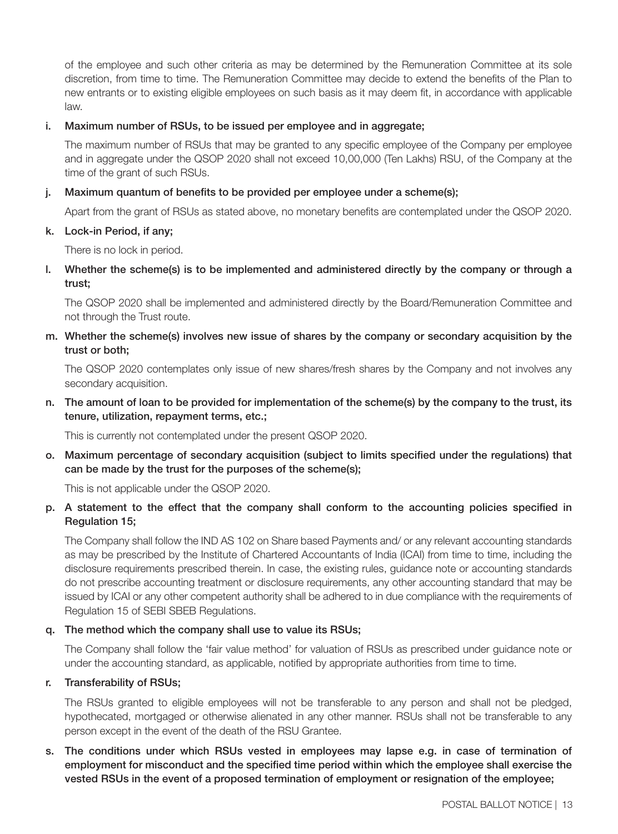of the employee and such other criteria as may be determined by the Remuneration Committee at its sole discretion, from time to time. The Remuneration Committee may decide to extend the benefits of the Plan to new entrants or to existing eligible employees on such basis as it may deem fit, in accordance with applicable law.

#### i. Maximum number of RSUs, to be issued per employee and in aggregate;

The maximum number of RSUs that may be granted to any specific employee of the Company per employee and in aggregate under the QSOP 2020 shall not exceed 10,00,000 (Ten Lakhs) RSU, of the Company at the time of the grant of such RSUs.

#### j. Maximum quantum of benefits to be provided per employee under a scheme(s);

Apart from the grant of RSUs as stated above, no monetary benefits are contemplated under the QSOP 2020.

#### k. Lock-in Period, if any;

There is no lock in period.

l. Whether the scheme(s) is to be implemented and administered directly by the company or through a trust;

The QSOP 2020 shall be implemented and administered directly by the Board/Remuneration Committee and not through the Trust route.

## m. Whether the scheme(s) involves new issue of shares by the company or secondary acquisition by the trust or both;

The QSOP 2020 contemplates only issue of new shares/fresh shares by the Company and not involves any secondary acquisition.

n. The amount of loan to be provided for implementation of the scheme(s) by the company to the trust, its tenure, utilization, repayment terms, etc.;

This is currently not contemplated under the present QSOP 2020.

o. Maximum percentage of secondary acquisition (subject to limits specified under the regulations) that can be made by the trust for the purposes of the scheme(s);

This is not applicable under the QSOP 2020.

## p. A statement to the effect that the company shall conform to the accounting policies specified in Regulation 15;

The Company shall follow the IND AS 102 on Share based Payments and/ or any relevant accounting standards as may be prescribed by the Institute of Chartered Accountants of India (ICAI) from time to time, including the disclosure requirements prescribed therein. In case, the existing rules, guidance note or accounting standards do not prescribe accounting treatment or disclosure requirements, any other accounting standard that may be issued by ICAI or any other competent authority shall be adhered to in due compliance with the requirements of Regulation 15 of SEBI SBEB Regulations.

## q. The method which the company shall use to value its RSUs;

The Company shall follow the 'fair value method' for valuation of RSUs as prescribed under guidance note or under the accounting standard, as applicable, notified by appropriate authorities from time to time.

#### r. Transferability of RSUs;

The RSUs granted to eligible employees will not be transferable to any person and shall not be pledged, hypothecated, mortgaged or otherwise alienated in any other manner. RSUs shall not be transferable to any person except in the event of the death of the RSU Grantee.

s. The conditions under which RSUs vested in employees may lapse e.g. in case of termination of employment for misconduct and the specified time period within which the employee shall exercise the vested RSUs in the event of a proposed termination of employment or resignation of the employee;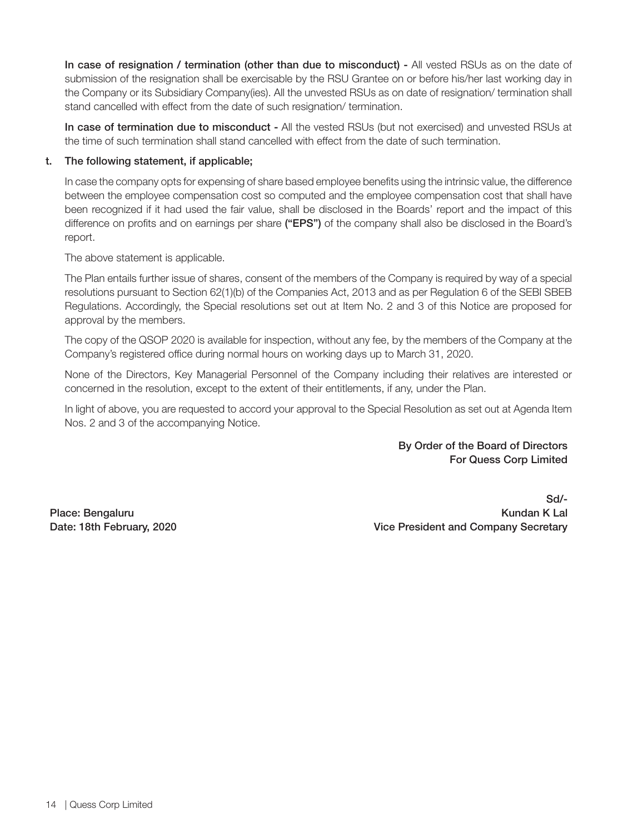In case of resignation / termination (other than due to misconduct) - All vested RSUs as on the date of submission of the resignation shall be exercisable by the RSU Grantee on or before his/her last working day in the Company or its Subsidiary Company(ies). All the unvested RSUs as on date of resignation/ termination shall stand cancelled with effect from the date of such resignation/ termination.

In case of termination due to misconduct - All the vested RSUs (but not exercised) and unvested RSUs at the time of such termination shall stand cancelled with effect from the date of such termination.

## t. The following statement, if applicable;

In case the company opts for expensing of share based employee benefits using the intrinsic value, the difference between the employee compensation cost so computed and the employee compensation cost that shall have been recognized if it had used the fair value, shall be disclosed in the Boards' report and the impact of this difference on profits and on earnings per share ("EPS") of the company shall also be disclosed in the Board's report.

The above statement is applicable.

The Plan entails further issue of shares, consent of the members of the Company is required by way of a special resolutions pursuant to Section 62(1)(b) of the Companies Act, 2013 and as per Regulation 6 of the SEBI SBEB Regulations. Accordingly, the Special resolutions set out at Item No. 2 and 3 of this Notice are proposed for approval by the members.

The copy of the QSOP 2020 is available for inspection, without any fee, by the members of the Company at the Company's registered office during normal hours on working days up to March 31, 2020.

None of the Directors, Key Managerial Personnel of the Company including their relatives are interested or concerned in the resolution, except to the extent of their entitlements, if any, under the Plan.

In light of above, you are requested to accord your approval to the Special Resolution as set out at Agenda Item Nos. 2 and 3 of the accompanying Notice.

> By Order of the Board of Directors For Quess Corp Limited

Place: Bengaluru Date: 18th February, 2020

Sd/- Kundan K Lal Vice President and Company Secretary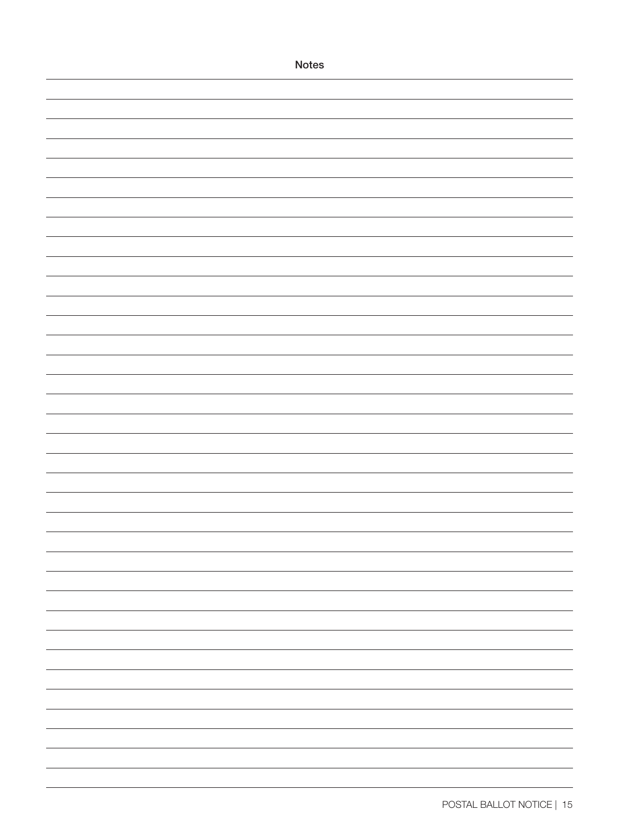| Notes |  |
|-------|--|
|       |  |
|       |  |
|       |  |
|       |  |
|       |  |
|       |  |
|       |  |
|       |  |
|       |  |
|       |  |
|       |  |
|       |  |
|       |  |
|       |  |
|       |  |
|       |  |
|       |  |
|       |  |
|       |  |
|       |  |
|       |  |
|       |  |
|       |  |
|       |  |
|       |  |
|       |  |
|       |  |
|       |  |
|       |  |
|       |  |
|       |  |
|       |  |
|       |  |
|       |  |
|       |  |
|       |  |
|       |  |
|       |  |
|       |  |
|       |  |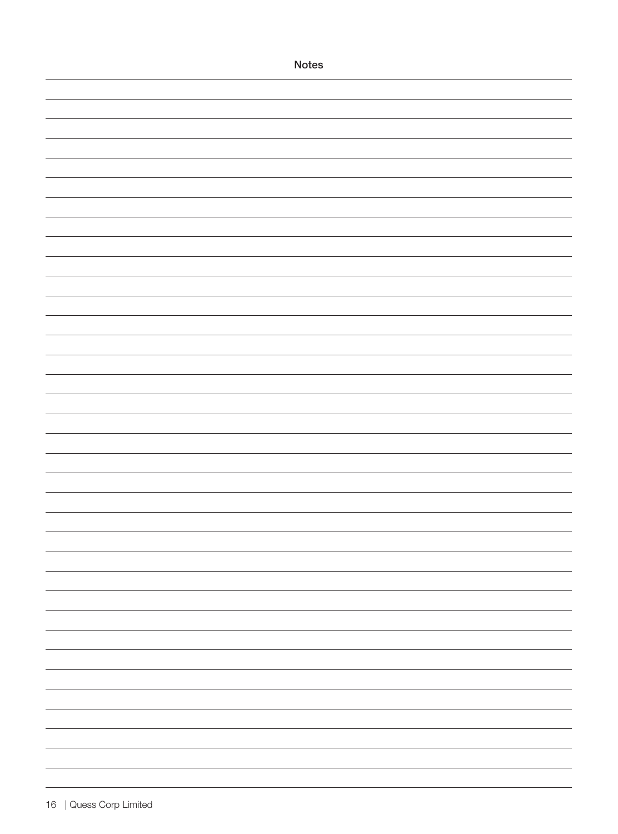| <b>Notes</b> |
|--------------|
|              |
|              |
|              |
|              |
|              |
|              |
|              |
|              |
|              |
|              |
|              |
|              |
|              |
|              |
|              |
|              |
|              |
|              |
|              |
|              |
|              |
|              |
|              |
|              |
|              |
|              |
|              |
|              |
|              |
|              |
|              |
|              |
|              |
|              |
|              |
|              |
|              |
|              |
|              |
|              |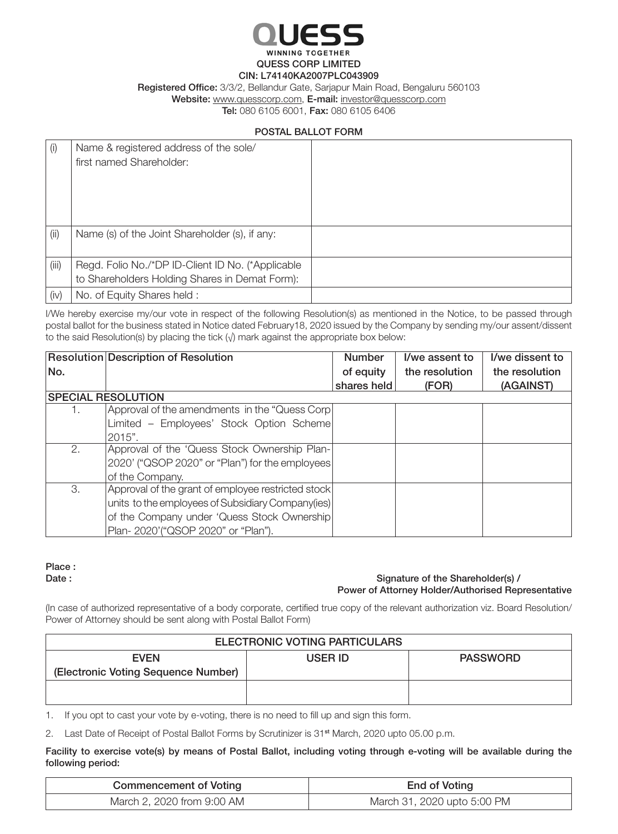

WINNING TOGETHER QUESS CORP LIMITED

#### CIN: L74140KA2007PLC043909

Registered Office: 3/3/2, Bellandur Gate, Sarjapur Main Road, Bengaluru 560103

Website: www.quesscorp.com, E-mail: investor@quesscorp.com

Tel: 080 6105 6001, Fax: 080 6105 6406

## POSTAL BALLOT FORM

| (i)   | Name & registered address of the sole/<br>first named Shareholder:                                  |  |
|-------|-----------------------------------------------------------------------------------------------------|--|
| (i)   | Name (s) of the Joint Shareholder (s), if any:                                                      |  |
| (iii) | Regd. Folio No./*DP ID-Client ID No. (*Applicable<br>to Shareholders Holding Shares in Demat Form): |  |
| (iv)  | No. of Equity Shares held:                                                                          |  |

I/We hereby exercise my/our vote in respect of the following Resolution(s) as mentioned in the Notice, to be passed through postal ballot for the business stated in Notice dated February18, 2020 issued by the Company by sending my/our assent/dissent to the said Resolution(s) by placing the tick  $(\sqrt{})$  mark against the appropriate box below:

|     | Resolution Description of Resolution               | <b>Number</b> | I/we assent to | I/we dissent to |
|-----|----------------------------------------------------|---------------|----------------|-----------------|
| No. |                                                    | of equity     | the resolution | the resolution  |
|     |                                                    | shares held   | (FOR)          | (AGAINST)       |
|     | <b>SPECIAL RESOLUTION</b>                          |               |                |                 |
| 1.  | Approval of the amendments in the "Quess Corp      |               |                |                 |
|     | Limited - Employees' Stock Option Scheme           |               |                |                 |
|     | $2015$ ".                                          |               |                |                 |
| 2.  | Approval of the 'Quess Stock Ownership Plan-       |               |                |                 |
|     | 2020' ("QSOP 2020" or "Plan") for the employees    |               |                |                 |
|     | of the Company.                                    |               |                |                 |
| 3.  | Approval of the grant of employee restricted stock |               |                |                 |
|     | units to the employees of Subsidiary Company(ies)  |               |                |                 |
|     | of the Company under 'Quess Stock Ownership        |               |                |                 |
|     | Plan-2020'("QSOP 2020" or "Plan").                 |               |                |                 |

## Place :

#### Date : Signature of the Shareholder(s) / Power of Attorney Holder/Authorised Representative

(In case of authorized representative of a body corporate, certified true copy of the relevant authorization viz. Board Resolution/ Power of Attorney should be sent along with Postal Ballot Form)

| ELECTRONIC VOTING PARTICULARS       |         |                 |  |
|-------------------------------------|---------|-----------------|--|
| <b>EVEN</b>                         | USER ID | <b>PASSWORD</b> |  |
| (Electronic Voting Sequence Number) |         |                 |  |
|                                     |         |                 |  |
|                                     |         |                 |  |

1. If you opt to cast your vote by e-voting, there is no need to fill up and sign this form.

2. Last Date of Receipt of Postal Ballot Forms by Scrutinizer is 31<sup>st</sup> March, 2020 upto 05.00 p.m.

Facility to exercise vote(s) by means of Postal Ballot, including voting through e-voting will be available during the following period:

| <b>Commencement of Voting</b> | End of Voting               |
|-------------------------------|-----------------------------|
| March 2, 2020 from 9:00 AM    | March 31, 2020 upto 5:00 PM |